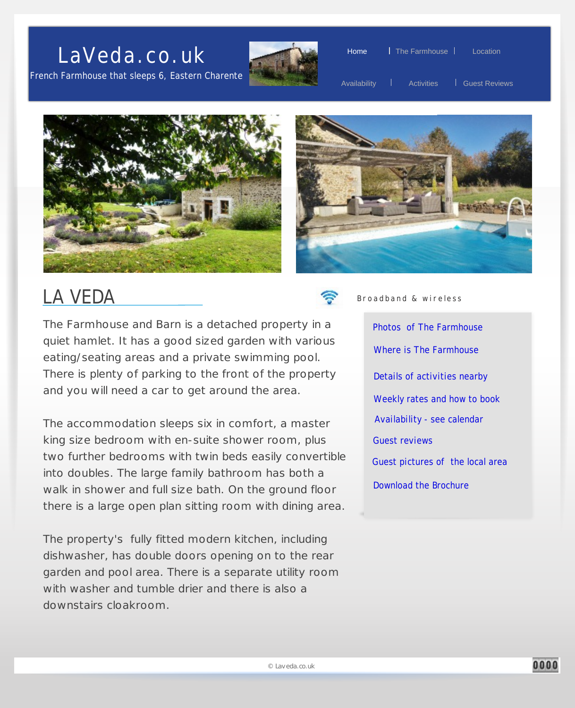



Home | The Farmhouse | Location

Availability | Activities | Guest Reviews





#### LA VEDA

The Farmhouse and Barn is a detached property in a quiet hamlet. It has a good sized garden with various eating/seating areas and a private swimming pool. There is plenty of parking to the front of the property and you will need a car to get around the area.

The accommodation sleeps six in comfort, a master king size bedroom with en-suite shower room, plus two further bedrooms with twin beds easily convertible into doubles. The large family bathroom has both a walk in shower and full size bath. On the ground floor there is a large open plan sitting room with dining area.

The property's fully fitted modern kitchen, including dishwasher, has double doors opening on to the rear garden and pool area. There is a separate utility room with washer and tumble drier and there is also a downstairs cloakroom.



Broadband & wireless

[Availability - see calendar](#page-7-0) [Weekly rates and how to book](#page-4-0) [Details of activities nearby](#page-5-0) [Where is The Farmhouse](#page-2-0) [Photos of The Farmhouse](#page-1-0) [Guest reviews](#page-3-0) [Guest pictures of the local area](#page-8-0) [Download the Brochure](#page-8-0)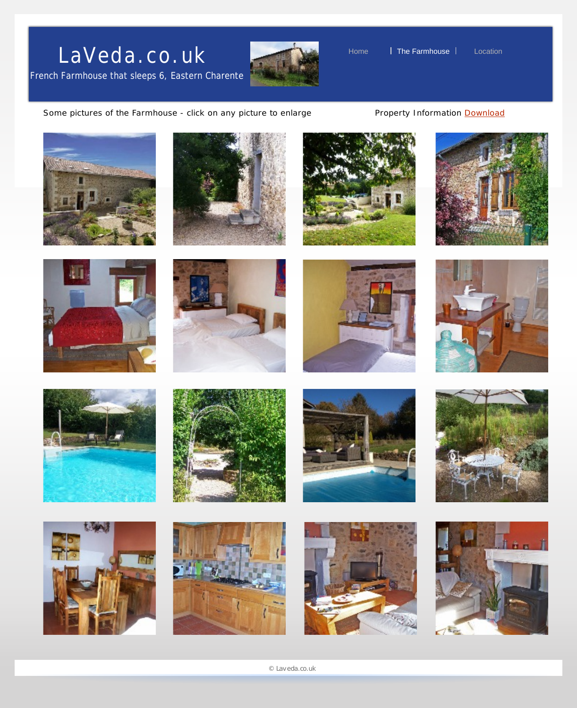<span id="page-1-0"></span>French Farmhouse that sleeps 6, Eastern Charente



Home **I** The Farmhouse **Let I** Location

Some pictures of the Farmhouse - click on any picture to enlarge Property Information **Download** 































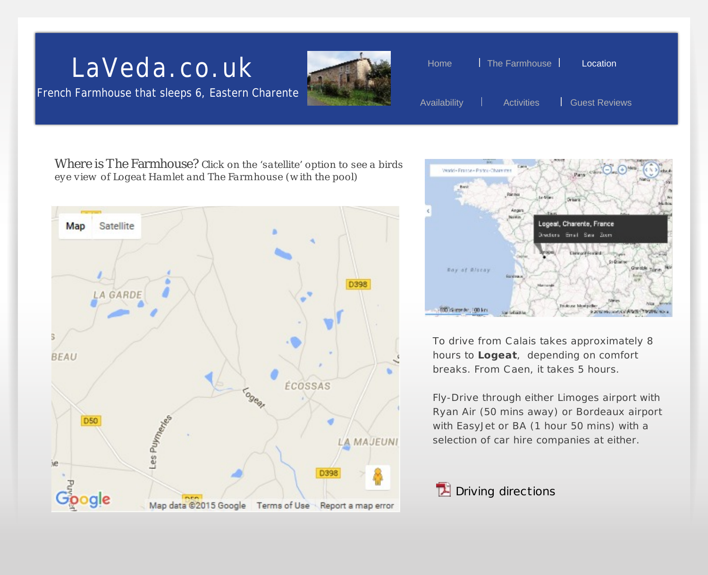French Farmhouse that sleeps 6, Eastern Charente



<span id="page-2-0"></span>

Where is The Farmhouse? *Click on the 'satellite' option to see a birds eye view of Logeat Ham let and The Farm house (w ith the pool)*





To drive from C alais takes approximately 8 hours to **Logeat**, depending on comfort breaks. From C aen, it takes 5 hours.

Fly-Drive through either Limoges airport with Ryan Air (50 mins away) or Bordeaux airport with EasyJet or BA (1 hour 50 mins) with a selection of car hire companies at either.

#### $\mathbb{Z}$  Driving directions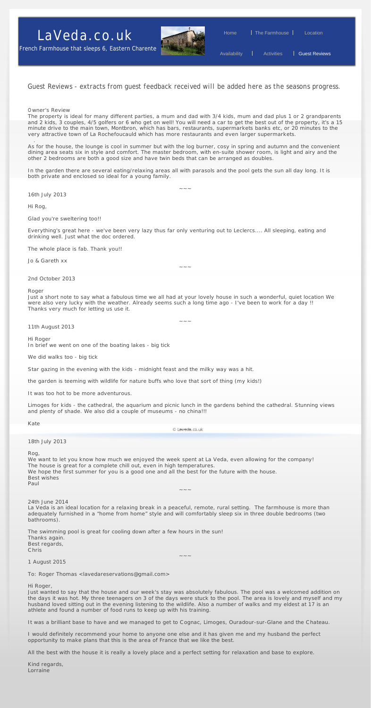<span id="page-3-0"></span>

#### Guest Reviews - *extracts from guest feedback received will be added here as the seasons progress.*

#### Owner's Review

The property is ideal for many different parties, a mum and dad with 3/4 kids, mum and dad plus 1 or 2 grandparents and 2 kids, 3 couples, 4/5 golfers or 6 who get on well! You will need a car to get the best out of the property, it's a 15 minute drive to the main town, Montbron, which has bars, restaurants, supermarkets banks etc, or 20 minutes to the very attractive town of La Rochefoucauld which has more restaurants and even larger supermarkets.

.

As for the house, the lounge is cool in summer but with the log burner, cosy in spring and autumn and the convenient dining area seats six in style and comfort. The master bedroom, with en-suite shower room, is light and airy and the other 2 bedrooms are both a good size and have twin beds that can be arranged as doubles.

 $\sim$   $\sim$   $\sim$ 

In the garden there are several eating/relaxing areas all with parasols and the pool gets the sun all day long. It is both private and enclosed so ideal for a young family.

*16th July 2013*

Hi Rog,

Glad you're sweltering too!!

Everything's great here - we've been very lazy thus far only venturing out to Leclercs.... All sleeping, eating and drinking well. Just what the doc ordered.

The whole place is fab. Thank you!!

Jo & Gareth xx

*2nd October 2013*

Roger

Just a short note to say what a fabulous time we all had at your lovely house in such a wonderful, quiet location We were also very lucky with the weather. Already seems such a long time ago - I've been to work for a day !! Thanks very much for letting us use it.

 $\sim$   $\sim$   $\sim$ 

 $\sim$   $\sim$   $\sim$ 

*11th August 2013*

Hi Roger

In brief we went on one of the boating lakes - big tick

We did walks too - big tick

Star gazing in the evening with the kids - midnight feast and the milky way was a hit.

the garden is teeming with wildlife for nature buffs who love that sort of thing (my kids!)

It was too hot to be more adventurous.

Limoges for kids - the cathedral, the aquarium and picnic lunch in the gardens behind the cathedral. Stunning views and plenty of shade. We also did a couple of museums - no china!!!

Kate

© Laveda.co.uk

*18th July 2013*

Rog,

We want to let you know how much we enjoyed the week spent at La Veda, even allowing for the company! The house is great for a complete chill out, even in high temperatures. We hope the first summer for you is a good one and all the best for the future with the house. Best wishes Paul  $\sim$   $\sim$   $\sim$ 24th June 2014

La Veda is an ideal location for a relaxing break in a peaceful, remote, rural setting. The farmhouse is more than adequately furnished in a "home from home" style and will comfortably sleep six in three double bedrooms (two bathrooms).

The swimming pool is great for cooling down after a few hours in the sun! Thanks again. Best regards, Chris

*1 August 2015*

To: Roger Thomas <lavedareservations@gmail.com>

Hi Roger,

Just wanted to say that the house and our week's stay was absolutely fabulous. The pool was a welcomed addition on the days it was hot. My three teenagers on 3 of the days were stuck to the pool. The area is lovely and myself and my husband loved sitting out in the evening listening to the wildlife. Also a number of walks and my eldest at 17 is an athlete and found a number of food runs to keep up with his training.

It was a brilliant base to have and we managed to get to Cognac, Limoges, Ouradour-sur-Glane and the Chateau.

I would definitely recommend your home to anyone one else and it has given me and my husband the perfect opportunity to make plans that this is the area of France that we like the best.

All the best with the house it is really a lovely place and a perfect setting for relaxation and base to explore.

Kind regards, Lorraine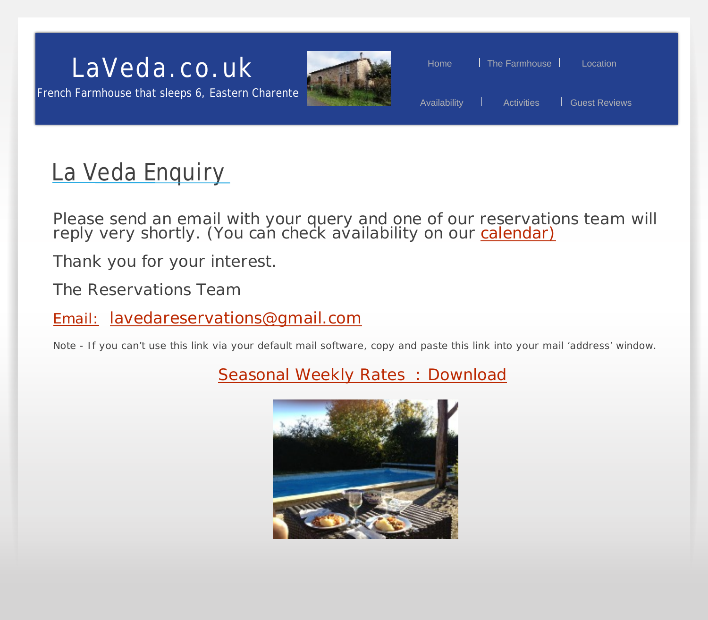#### <span id="page-4-0"></span>LaVeda.co.uk Home I The Farmhouse I Location

French Farmhouse that sleeps 6, Eastern Charente



# Availability | Activities | Guest Reviews

### La Veda Enquiry

Please send an email with your query and one of our reservations team will reply very shortly. (You can check availability on our <u>[calendar\)](#page-7-0)</u>

Thank you for your interest.

T*he Reservations Team*

Email: [lavedareservations@gmail.com](mailto:lavedareservations@gmail.com?subject=A question about Laveda)

Note - If you can't use this link via your default mail software, copy and paste this link into your mail 'address' window.

**Seasonal Weekly Rates : Download** 

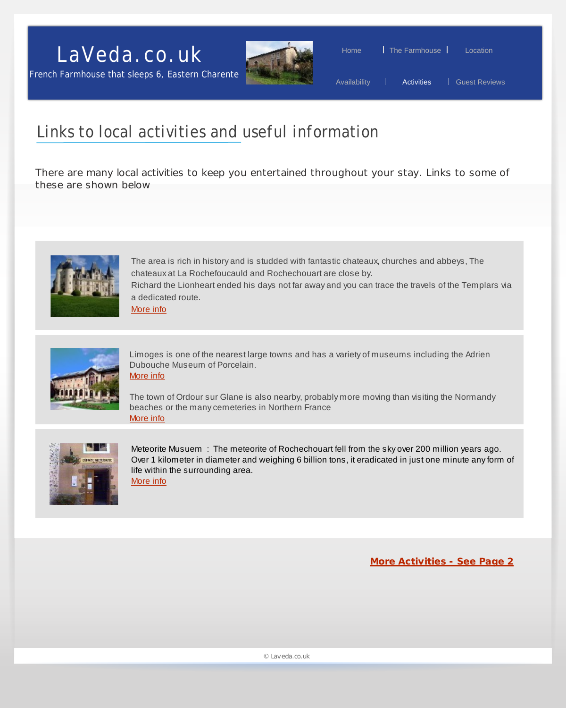

Home | The Farmhouse | Location

Availability | Activities | Guest Reviews

#### <span id="page-5-0"></span>Links to local activities and useful information

There are many local activities to keep you entertained throughout your stay. Links to some of these are shown below



The area is rich in history and is studded with fantastic chateaux, churches and abbeys, The chateaux at La Rochefoucauld and Rochechouart are close by. Richard the Lionheart ended his days not far away and you can trace the travels of the Templars via a dedicated route.

[More info](http://www.holiday-activities-southwest-france.com/historical-monuments/route-richard-coeur-de-lion.php)



Limoges is one of the nearest large towns and has a variety of museums including the Adrien Dubouche Museum of Porcelain. [More info](http://www.musee-adriendubouche.fr )

The town of Ordour sur Glane is also nearby, probably more moving than visiting the Normandy beaches or the many cemeteries in Northern France [More info](http://en.wikipedia.org/wiki/Oradour-sur-Glane)



Meteorite Musuem : The meteorite of Rochechouart fell from the sky over 200 million years ago. Over 1 kilometer in diameter and weighing 6 billion tons, it eradicated in just one minute any form of life within the surrounding area. [More info](http://www.espacemeteorite.com)

**[More Activities - See Page 2](#page-6-0)**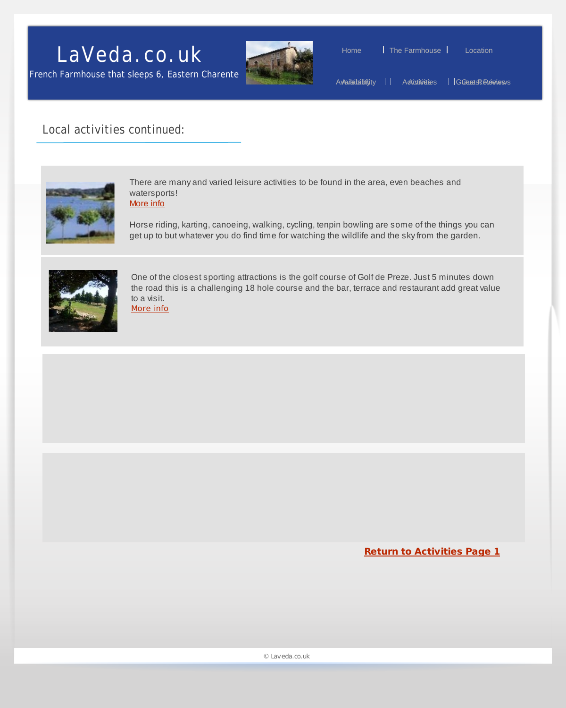<span id="page-6-0"></span>French Farmhouse that sleeps 6, Eastern Charente



Home | The Farmhouse | Location

Av¤ailaiabityity II A*c*tioutivietes IGGeuestRReviews

#### Local activities continued:



There are many and varied leisure activities to be found in the area, even beaches and watersports!

[More info](http://www.livingmagazine.fr/en/easyblog/entry/charente-attractions/great-lakes-haute-charente-massignac-days-out.html)

Horse riding, karting, canoeing, walking, cycling, tenpin bowling are some of the things you can get up to but whatever you do find time for watching the wildlife and the sky from the garden.



One of the closest sporting attractions is the golf course of Golf de Preze. Just 5 minutes down the road this is a challenging 18 hole course and the bar, terrace and restaurant add great value to a visit.

[More info](http://www.golfdelapreze.com/en/)

**[Return to Activities Page 1](#page-5-0)**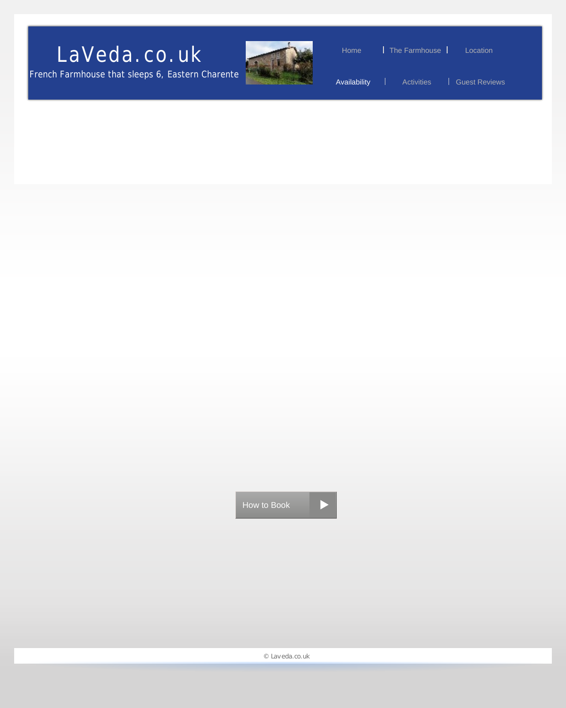<span id="page-7-0"></span>French Farmhouse that sleeps 6, Eastern Charente



Home I The Farmhouse I Location

Availability | Activities | Guest Reviews